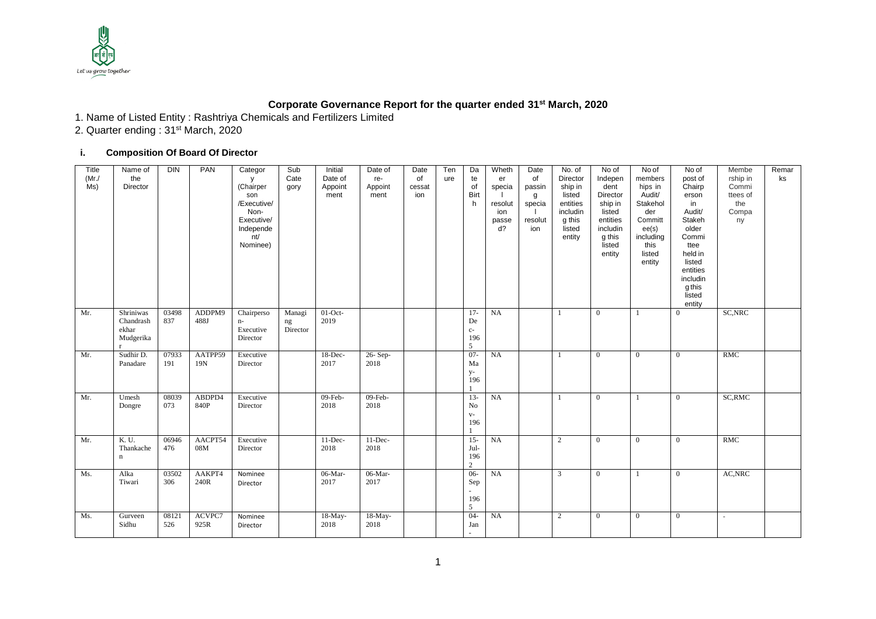

## **Corporate Governance Report for the quarter ended 31 st March, 2020**

1. Name of Listed Entity : Rashtriya Chemicals and Fertilizers Limited

2. Quarter ending : 31st March, 2020

## **i. Composition Of Board Of Director**

| Title<br>(Mr)<br>Ms) | Name of<br>the<br>Director                   | <b>DIN</b>   | PAN            | Categor<br>y<br>(Chairper<br>son<br>/Executive/<br>Non-<br>Executive/<br>Independe<br>nt/<br>Nominee) | Sub<br>Cate<br>gory            | Initial<br>Date of<br>Appoint<br>ment | Date of<br>re-<br>Appoint<br>ment | Date<br>of<br>cessat<br>ion | Ten<br>ure | Da<br>te<br>of<br><b>Birt</b><br>h      | Wheth<br>er<br>specia<br>resolut<br>ion<br>passe<br>$d$ ? | Date<br>of<br>passin<br>g<br>specia<br>resolut<br>ion | No. of<br>Director<br>ship in<br>listed<br>entities<br>includin<br>g this<br>listed<br>entity | No of<br>Indepen<br>dent<br>Director<br>ship in<br>listed<br>entities<br>includin<br>g this<br>listed<br>entity | No of<br>members<br>hips in<br>Audit/<br>Stakehol<br>der<br>Committ<br>ee(s)<br>including<br>this<br>listed<br>entity | No of<br>post of<br>Chairp<br>erson<br>in<br>Audit/<br>Stakeh<br>older<br>Commi<br>ttee<br>held in<br>listed<br>entities<br>includin<br>g this<br>listed<br>entity | Membe<br>rship in<br>Commi<br>ttees of<br>the<br>Compa<br>ny | Remar<br>ks |
|----------------------|----------------------------------------------|--------------|----------------|-------------------------------------------------------------------------------------------------------|--------------------------------|---------------------------------------|-----------------------------------|-----------------------------|------------|-----------------------------------------|-----------------------------------------------------------|-------------------------------------------------------|-----------------------------------------------------------------------------------------------|-----------------------------------------------------------------------------------------------------------------|-----------------------------------------------------------------------------------------------------------------------|--------------------------------------------------------------------------------------------------------------------------------------------------------------------|--------------------------------------------------------------|-------------|
| Mr.                  | Shriniwas<br>Chandrash<br>ekhar<br>Mudgerika | 03498<br>837 | ADDPM9<br>488J | Chairperso<br>$n-$<br>Executive<br>Director                                                           | Managi<br>$\rm ng$<br>Director | $01$ -Oct-<br>2019                    |                                   |                             |            | $17-$<br>De<br>$_{\rm C}$ -<br>196<br>5 | NA                                                        |                                                       | 1                                                                                             | $\overline{0}$                                                                                                  | $\mathbf{1}$                                                                                                          | $\overline{0}$                                                                                                                                                     | SC, NRC                                                      |             |
| Mr.                  | Sudhir D.<br>Panadare                        | 07933<br>191 | AATPP59<br>19N | Executive<br>Director                                                                                 |                                | 18-Dec-<br>2017                       | 26-Sep-<br>2018                   |                             |            | $07 -$<br>Ma<br>$y-$<br>196             | NA                                                        |                                                       | 1                                                                                             | $\overline{0}$                                                                                                  | $\overline{0}$                                                                                                        | $\overline{0}$                                                                                                                                                     | RMC                                                          |             |
| Mr.                  | Umesh<br>Dongre                              | 08039<br>073 | ABDPD4<br>840P | Executive<br>Director                                                                                 |                                | $09$ -Feb-<br>2018                    | $09$ -Feb-<br>2018                |                             |            | $13-$<br>$_{\rm No}$<br>$V -$<br>196    | NA                                                        |                                                       | 1                                                                                             | $\overline{0}$                                                                                                  |                                                                                                                       | $\theta$                                                                                                                                                           | SC, RMC                                                      |             |
| Mr.                  | K. U.<br>Thankache<br>n                      | 06946<br>476 | AACPT54<br>08M | Executive<br>Director                                                                                 |                                | $11$ -Dec-<br>2018                    | $11$ -Dec-<br>2018                |                             |            | $15 -$<br>Jul-<br>196<br>$\overline{2}$ | NA                                                        |                                                       | $\overline{2}$                                                                                | $\overline{0}$                                                                                                  | $\overline{0}$                                                                                                        | $\theta$                                                                                                                                                           | RMC                                                          |             |
| Ms.                  | Alka<br>Tiwari                               | 03502<br>306 | AAKPT4<br>240R | Nominee<br>Director                                                                                   |                                | 06-Mar-<br>2017                       | 06-Mar-<br>2017                   |                             |            | $06 -$<br>Sep<br>$\sim$<br>196<br>5     | NA                                                        |                                                       | $\mathbf{3}$                                                                                  | $\overline{0}$                                                                                                  |                                                                                                                       | $\overline{0}$                                                                                                                                                     | AC, NRC                                                      |             |
| Ms.                  | Gurveen<br>Sidhu                             | 08121<br>526 | ACVPC7<br>925R | Nominee<br>Director                                                                                   |                                | $18-May-$<br>2018                     | 18-May-<br>2018                   |                             |            | $04-$<br>Jan<br>$\sim$                  | NA                                                        |                                                       | $\overline{2}$                                                                                | $\overline{0}$                                                                                                  | $\overline{0}$                                                                                                        | $\theta$                                                                                                                                                           | $\sim$                                                       |             |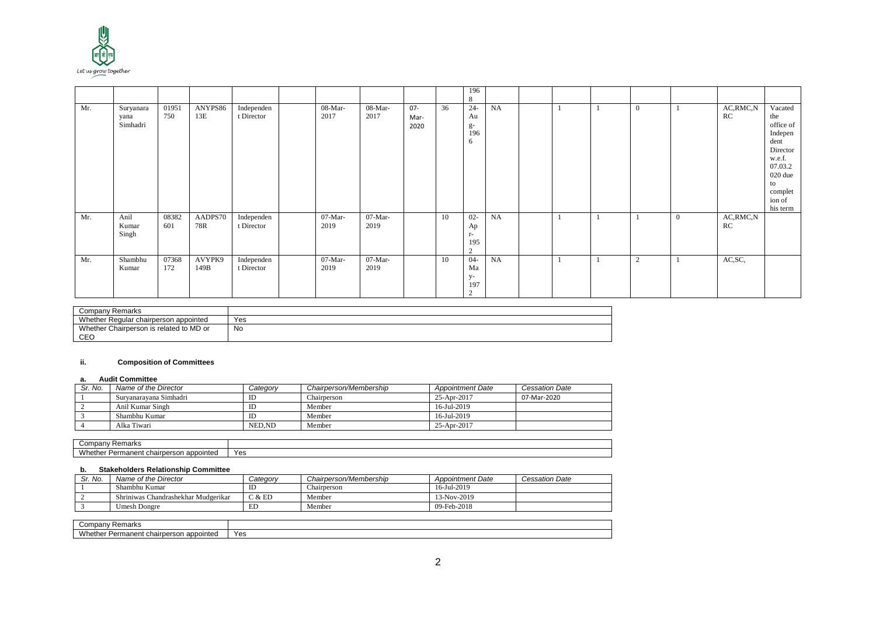

|     |                               |              |                |                          |                   |                   |                        |    | 196<br>8                                   |    |  |                |                |                  |                                                                                                                                   |
|-----|-------------------------------|--------------|----------------|--------------------------|-------------------|-------------------|------------------------|----|--------------------------------------------|----|--|----------------|----------------|------------------|-----------------------------------------------------------------------------------------------------------------------------------|
| Mr. | Suryanara<br>yana<br>Simhadri | 01951<br>750 | ANYPS86<br>13E | Independen<br>t Director | 08-Mar-<br>2017   | 08-Mar-<br>2017   | $07 -$<br>Mar-<br>2020 | 36 | $24 -$<br>Au<br>g-<br>196<br>6             | NA |  | $\overline{0}$ |                | AC, RMC, N<br>RC | Vacated<br>the<br>office of<br>Indepen<br>dent<br>Director<br>w.e.f.<br>07.03.2<br>020 due<br>to<br>complet<br>ion of<br>his term |
| Mr. | Anil<br>Kumar<br>Singh        | 08382<br>601 | AADPS70<br>78R | Independen<br>t Director | $07-Mar-$<br>2019 | $07-Mar-$<br>2019 |                        | 10 | $02 -$<br>Ap<br>$r-$<br>195<br>2           | NA |  |                | $\overline{0}$ | AC, RMC, N<br>RC |                                                                                                                                   |
| Mr. | Shambhu<br>Kumar              | 07368<br>172 | AVYPK9<br>149B | Independen<br>t Director | 07-Mar-<br>2019   | $07-Mar-$<br>2019 |                        | 10 | $04-$<br>Ma<br>y-<br>197<br>$\overline{2}$ | NA |  | $\overline{c}$ |                | AC, SC,          |                                                                                                                                   |

| Remarks<br>ompan:<br>◡◡                      |          |
|----------------------------------------------|----------|
| Whether<br>r Regular chairperson appointed   | Yes      |
| Whether<br>r Chairperson is related to MD or | No<br>__ |
| <b>CEC</b>                                   |          |

## **ii. Composition of Committees**

#### **a. Audit Committee**

| Sr. No. | Name of the Director   | Category | Chairperson/Membership | <b>Appointment Date</b> | <b>Cessation Date</b> |
|---------|------------------------|----------|------------------------|-------------------------|-----------------------|
|         | Survanaravana Simhadri | IL       | Chairperson            | 25-Apr-2017             | 07-Mar-2020           |
|         | Anil Kumar Singh       | ID       | Member                 | 16-Jul-2019             |                       |
|         | Shambhu Kumar          | ID       | Member                 | 16-Jul-2019             |                       |
|         | Alka Tiwari            | NED.ND   | Member                 | 25-Apr-2017             |                       |

| Remarks<br>omnony<br>offipany -                              |     |
|--------------------------------------------------------------|-----|
| M/he<br>າ appointed<br>Permanent<br>: chairperson<br>wnetnei | Yes |

## **b. Stakeholders Relationship Committee**

| Sr. No. | Name of the Director                | <i>Category</i> | Chairperson/Membership | <b>Appointment Date</b> | Cessation Date |
|---------|-------------------------------------|-----------------|------------------------|-------------------------|----------------|
|         | Shambhu Kumar                       | ID              | Chairperson            | 16-Jul-2019             |                |
|         | Shriniwas Chandrashekhar Mudgerikar | C & E D         | Member                 | 13-Nov-2019             |                |
|         | Umesh Dongre                        | ED              | Member                 | 09-Feb-2018             |                |

| Remarks<br>' ompany۔                                   |     |
|--------------------------------------------------------|-----|
| Whether F<br>appointed ו<br>Permanent<br>: chairperson | Yes |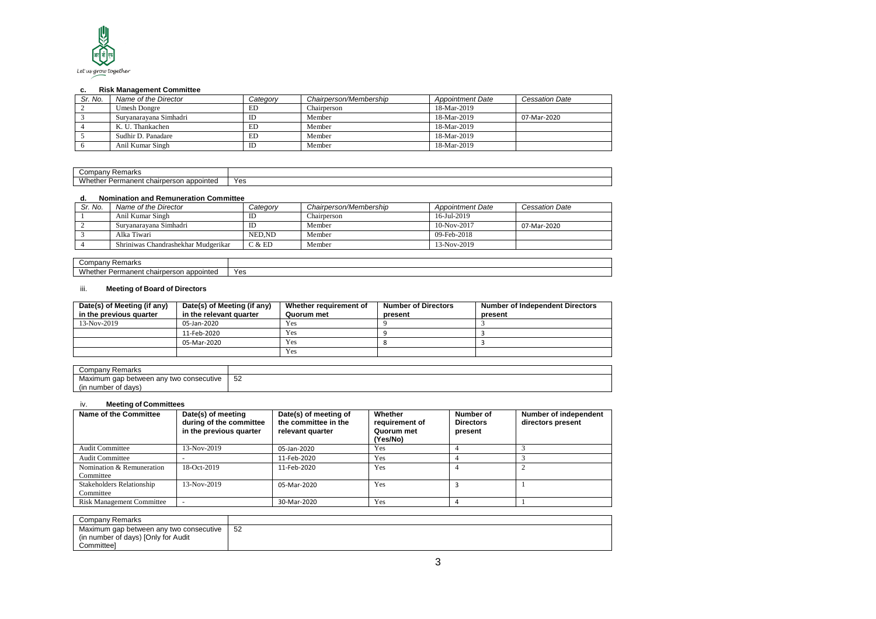

## **c. Risk Management Committee**

| Sr. No. | Name of the Director   | Category | Chairperson/Membership | <b>Appointment Date</b> | <b>Cessation Date</b> |
|---------|------------------------|----------|------------------------|-------------------------|-----------------------|
|         | <b>Umesh Dongre</b>    | ED       | Chairperson            | 18-Mar-2019             |                       |
|         | Survanaravana Simhadri | ID       | Member                 | 18-Mar-2019             | 07-Mar-2020           |
|         | K. U. Thankachen       | ED       | Member                 | 18-Mar-2019             |                       |
|         | Sudhir D. Panadare     | ED       | Member                 | 18-Mar-2019             |                       |
|         | Anil Kumar Singh       | ID       | Member                 | 18-Mar-2019             |                       |

| -<br>`omnany<br>: Remarks<br>ounpany -        |     |
|-----------------------------------------------|-----|
| Whether<br>appointed<br>Permanent chairperson | Yes |

## **d. Nomination and Remuneration Committee**

| Sr. No. | Name of the Director                | Category | Chairperson/Membership | <b>Appointment Date</b> | <b>Cessation Date</b> |
|---------|-------------------------------------|----------|------------------------|-------------------------|-----------------------|
|         | Anil Kumar Singh                    | ID       | Chairperson            | 16-Jul-2019             |                       |
|         | Survanaravana Simhadri              | ID       | Member                 | $10-Nov-2017$           | 07-Mar-2020           |
|         | Alka Tiwari                         | NED.ND   | Member                 | $09$ -Feb-2018          |                       |
|         | Shriniwas Chandrashekhar Mudgerikar | C & E D  | Member                 | 13-Nov-2019             |                       |

| ڪompanv<br><sup>.</sup> Remarks                               |     |
|---------------------------------------------------------------|-----|
| <b>Whethe</b><br>appointed<br>Permanent chall<br>ırperson<br> | Yes |

## iii. **Meeting of Board of Directors**

| Date(s) of Meeting (if any)<br>in the previous quarter | Date(s) of Meeting (if any)<br>in the relevant quarter | Whether requirement of<br>Quorum met | <b>Number of Directors</b><br>present | <b>Number of Independent Directors</b><br>present |
|--------------------------------------------------------|--------------------------------------------------------|--------------------------------------|---------------------------------------|---------------------------------------------------|
| 13-Nov-2019                                            | 05-Jan-2020                                            | Yes                                  |                                       |                                                   |
|                                                        | 11-Feb-2020                                            | Yes                                  |                                       |                                                   |
|                                                        | 05-Mar-2020                                            | Yes                                  |                                       |                                                   |
|                                                        |                                                        | Yes                                  |                                       |                                                   |

| Compan <sup>.</sup><br>Remarks                                  |    |
|-----------------------------------------------------------------|----|
| consecutive<br>Maximum qap<br>∵between an س<br>' two<br>$\cdot$ | 52 |
| number of days                                                  |    |

## iv. **Meeting of Committees**

| Name of the Committee            | Date(s) of meeting<br>during of the committee<br>in the previous quarter | Date(s) of meeting of<br>the committee in the<br>relevant quarter | Whether<br>requirement of<br>Quorum met<br>(Yes/No) | Number of<br><b>Directors</b><br>present | Number of independent<br>directors present |
|----------------------------------|--------------------------------------------------------------------------|-------------------------------------------------------------------|-----------------------------------------------------|------------------------------------------|--------------------------------------------|
| <b>Audit Committee</b>           | 13-Nov-2019                                                              | 05-Jan-2020                                                       | Yes                                                 |                                          |                                            |
| <b>Audit Committee</b>           |                                                                          | 11-Feb-2020                                                       | Yes                                                 |                                          |                                            |
| Nomination & Remuneration        | $18-Oct-2019$                                                            | 11-Feb-2020                                                       | Yes                                                 |                                          |                                            |
| Committee                        |                                                                          |                                                                   |                                                     |                                          |                                            |
| Stakeholders Relationship        | $13-Nov-2019$                                                            | 05-Mar-2020                                                       | Yes                                                 |                                          |                                            |
| Committee                        |                                                                          |                                                                   |                                                     |                                          |                                            |
| <b>Risk Management Committee</b> |                                                                          | 30-Mar-2020                                                       | Yes                                                 |                                          |                                            |

| Company Remarks                         |               |
|-----------------------------------------|---------------|
| Maximum gap between any two consecutive | -52<br>$\sim$ |
| (in number of days) [Only for Audit     |               |
| Committeel                              |               |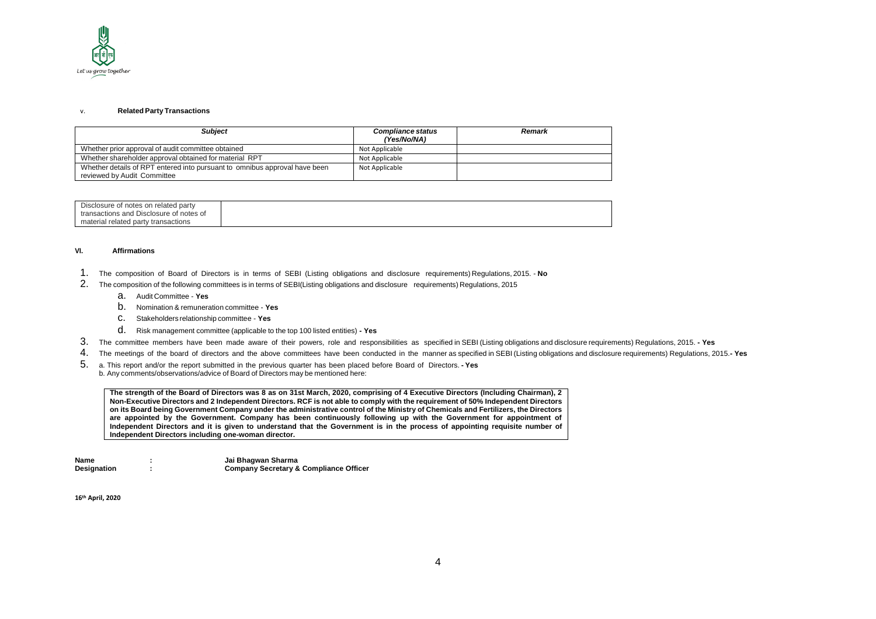

#### v. **Related Party Transactions**

| <b>Subiect</b>                                                                                            | <b>Compliance status</b><br>(Yes/No/NA) | Remark |
|-----------------------------------------------------------------------------------------------------------|-----------------------------------------|--------|
| Whether prior approval of audit committee obtained                                                        | Not Applicable                          |        |
| Whether shareholder approval obtained for material RPT                                                    | Not Applicable                          |        |
| Whether details of RPT entered into pursuant to omnibus approval have been<br>reviewed by Audit Committee | Not Applicable                          |        |

| Disclosure of notes on related party    |  |
|-----------------------------------------|--|
| transactions and Disclosure of notes of |  |
| material related party transactions     |  |

#### **VI. Affirmations**

- 1. The composition of Board of Directors is in terms of SEBI (Listing obligations and disclosure requirements) Regulations, 2015. **No**
- 2. The composition of the following committees is in terms of SEBI(Listing obligations and disclosure requirements) Regulations, 2015
	- a. Audit Committee **Yes**
	- b. Nomination & remuneration committee **Yes**
	- c. Stakeholders relationship committee **Yes**
	- d. Risk management committee (applicable to the top 100 listed entities) **- Yes**
- 3. The committee members have been made aware of their powers, role and responsibilities as specified in SEBI (Listing obligations and disclosure requirements) Regulations, 2015. **- Yes**
- 4. The meetings of the board of directors and the above committees have been conducted in the manner as specified in SEBI (Listing obligations and disclosure requirements) Regulations, 2015.**- Yes**
- 5. a. This report and/or the report submitted in the previous quarter has been placed before Board of Directors. **- Yes** b. Any comments/observations/advice of Board of Directors may be mentioned here:

**The strength of the Board of Directors was 8 as on 31st March, 2020, comprising of 4 Executive Directors (Including Chairman), 2 Non-Executive Directors and 2 Independent Directors. RCF is not able to comply with the requirement of 50% Independent Directors on its Board being Government Company under the administrative control of the Ministry of Chemicals and Fertilizers, the Directors are appointed by the Government. Company has been continuously following up with the Government for appointment of Independent Directors and it is given to understand that the Government is in the process of appointing requisite number of Independent Directors including one-woman director.**

| Name        | Jai Bhagwan Sharma                                |
|-------------|---------------------------------------------------|
| Designation | <b>Company Secretary &amp; Compliance Officer</b> |

**16th April, 2020**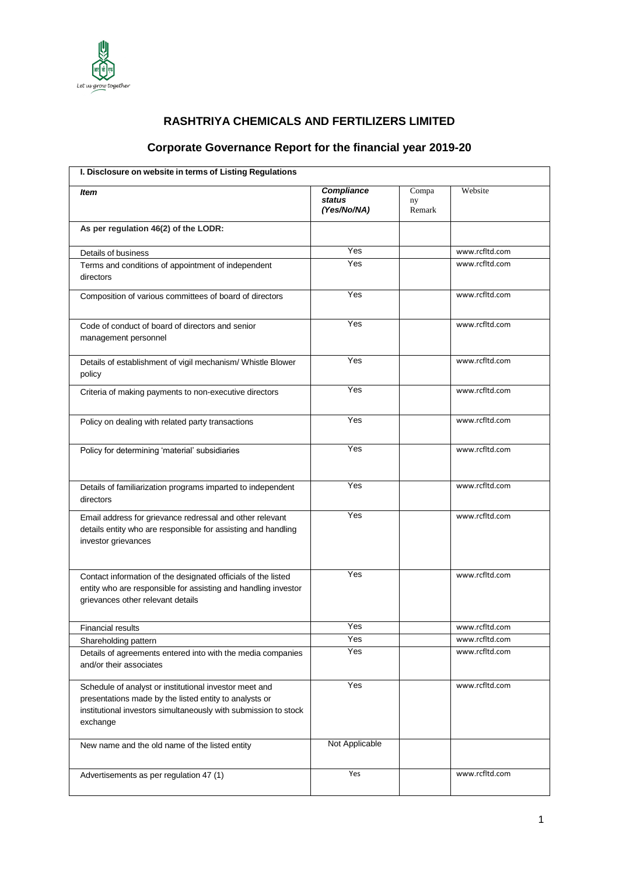

# **RASHTRIYA CHEMICALS AND FERTILIZERS LIMITED**

# **Corporate Governance Report for the financial year 2019-20**

|                                                                                                                                                                                                 | <b>Compliance</b>     |                       | Website        |
|-------------------------------------------------------------------------------------------------------------------------------------------------------------------------------------------------|-----------------------|-----------------------|----------------|
| ltem                                                                                                                                                                                            | status<br>(Yes/No/NA) | Compa<br>ny<br>Remark |                |
| As per regulation 46(2) of the LODR:                                                                                                                                                            |                       |                       |                |
| Details of business                                                                                                                                                                             | Yes                   |                       | www.rcfltd.com |
| Terms and conditions of appointment of independent<br>directors                                                                                                                                 | Yes                   |                       | www.rcfltd.com |
| Composition of various committees of board of directors                                                                                                                                         | Yes                   |                       | www.rcfltd.com |
| Code of conduct of board of directors and senior<br>management personnel                                                                                                                        | Yes                   |                       | www.rcfltd.com |
| Details of establishment of vigil mechanism/ Whistle Blower<br>policy                                                                                                                           | Yes                   |                       | www.rcfltd.com |
| Criteria of making payments to non-executive directors                                                                                                                                          | Yes                   |                       | www.rcfltd.com |
| Policy on dealing with related party transactions                                                                                                                                               | Yes                   |                       | www.rcfltd.com |
| Policy for determining 'material' subsidiaries                                                                                                                                                  | Yes                   |                       | www.rcfltd.com |
| Details of familiarization programs imparted to independent<br>directors                                                                                                                        | Yes                   |                       | www.rcfltd.com |
| Email address for grievance redressal and other relevant<br>details entity who are responsible for assisting and handling<br>investor grievances                                                | Yes                   |                       | www.rcfltd.com |
| Contact information of the designated officials of the listed<br>entity who are responsible for assisting and handling investor<br>grievances other relevant details                            | Yes                   |                       | www.rcfltd.com |
| <b>Financial results</b>                                                                                                                                                                        | Yes                   |                       | www.rcfltd.com |
| Shareholding pattern                                                                                                                                                                            | Yes                   |                       | www.rcfltd.com |
| Details of agreements entered into with the media companies<br>and/or their associates                                                                                                          | Yes                   |                       | www.rcfltd.com |
| Schedule of analyst or institutional investor meet and<br>presentations made by the listed entity to analysts or<br>institutional investors simultaneously with submission to stock<br>exchange | Yes                   |                       | www.rcfltd.com |
| New name and the old name of the listed entity                                                                                                                                                  | Not Applicable        |                       |                |
| Advertisements as per regulation 47 (1)                                                                                                                                                         | Yes                   |                       | www.rcfltd.com |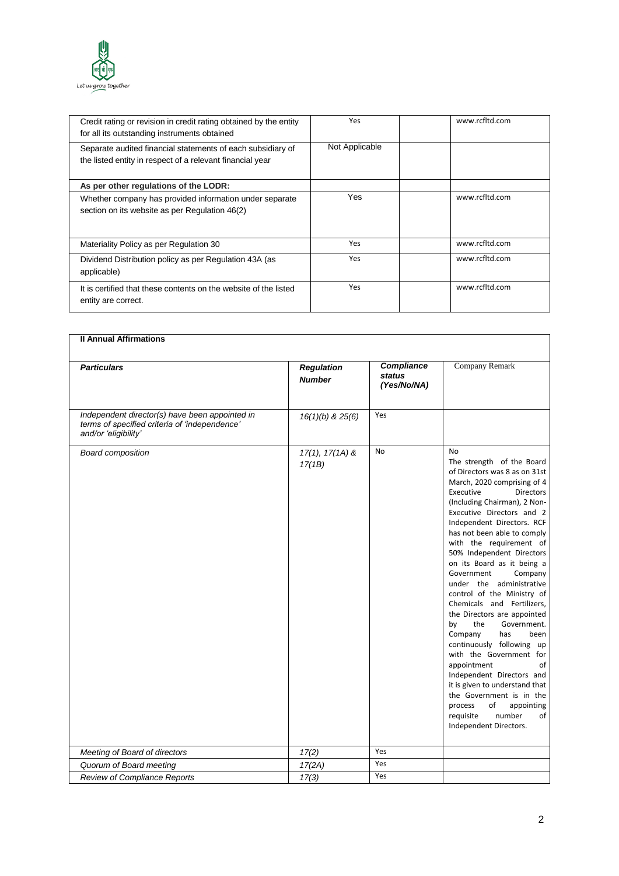

| Credit rating or revision in credit rating obtained by the entity<br>for all its outstanding instruments obtained        | Yes            | www.rcfltd.com |
|--------------------------------------------------------------------------------------------------------------------------|----------------|----------------|
| Separate audited financial statements of each subsidiary of<br>the listed entity in respect of a relevant financial year | Not Applicable |                |
| As per other regulations of the LODR:                                                                                    |                |                |
| Whether company has provided information under separate<br>section on its website as per Regulation 46(2)                | <b>Yes</b>     | www.rcfltd.com |
| Materiality Policy as per Regulation 30                                                                                  | Yes            | www.rcfltd.com |
| Dividend Distribution policy as per Regulation 43A (as<br>applicable)                                                    | Yes            | www.rcfltd.com |
| It is certified that these contents on the website of the listed<br>entity are correct.                                  | Yes            | www.rcfltd.com |

| <b>Il Annual Affirmations</b>                                                                                           |                                    |                                            |                                                                                                                                                                                                                                                                                                                                                                                                                                                                                                                                                                                                                                                                                                                                                                                                                             |
|-------------------------------------------------------------------------------------------------------------------------|------------------------------------|--------------------------------------------|-----------------------------------------------------------------------------------------------------------------------------------------------------------------------------------------------------------------------------------------------------------------------------------------------------------------------------------------------------------------------------------------------------------------------------------------------------------------------------------------------------------------------------------------------------------------------------------------------------------------------------------------------------------------------------------------------------------------------------------------------------------------------------------------------------------------------------|
| <b>Particulars</b>                                                                                                      | <b>Regulation</b><br><b>Number</b> | Compliance<br><b>status</b><br>(Yes/No/NA) | Company Remark                                                                                                                                                                                                                                                                                                                                                                                                                                                                                                                                                                                                                                                                                                                                                                                                              |
| Independent director(s) have been appointed in<br>terms of specified criteria of 'independence'<br>and/or 'eligibility' | $16(1)(b)$ & $25(6)$               | Yes                                        |                                                                                                                                                                                                                                                                                                                                                                                                                                                                                                                                                                                                                                                                                                                                                                                                                             |
| <b>Board composition</b>                                                                                                | $17(1), 17(1A)$ &<br>17(1B)        | No                                         | <b>No</b><br>The strength of the Board<br>of Directors was 8 as on 31st<br>March, 2020 comprising of 4<br>Executive<br><b>Directors</b><br>(Including Chairman), 2 Non-<br>Executive Directors and 2<br>Independent Directors. RCF<br>has not been able to comply<br>with the requirement of<br>50% Independent Directors<br>on its Board as it being a<br>Government<br>Company<br>under the administrative<br>control of the Ministry of<br>Chemicals and Fertilizers,<br>the Directors are appointed<br>by<br>the<br>Government.<br>Company<br>has<br>been<br>continuously following up<br>with the Government for<br>appointment<br>of<br>Independent Directors and<br>it is given to understand that<br>the Government is in the<br>of<br>process<br>appointing<br>requisite<br>number<br>of<br>Independent Directors. |
| Meeting of Board of directors                                                                                           | 17(2)                              | Yes                                        |                                                                                                                                                                                                                                                                                                                                                                                                                                                                                                                                                                                                                                                                                                                                                                                                                             |
| Quorum of Board meeting                                                                                                 | 17(2A)                             | Yes                                        |                                                                                                                                                                                                                                                                                                                                                                                                                                                                                                                                                                                                                                                                                                                                                                                                                             |
| Review of Compliance Reports                                                                                            | 17(3)                              | Yes                                        |                                                                                                                                                                                                                                                                                                                                                                                                                                                                                                                                                                                                                                                                                                                                                                                                                             |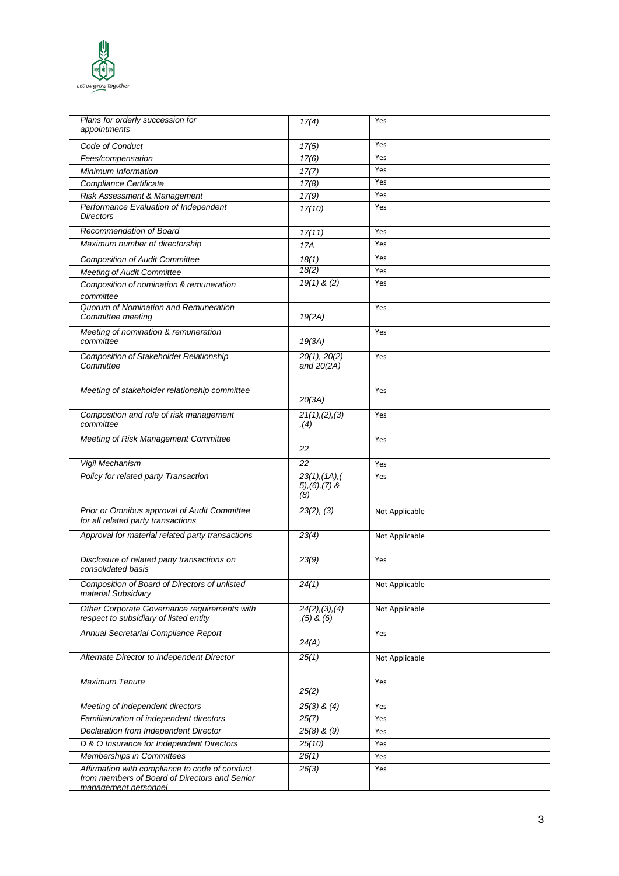

| Plans for orderly succession for<br>appointments                                                                        | 17(4)                                          | Yes            |  |
|-------------------------------------------------------------------------------------------------------------------------|------------------------------------------------|----------------|--|
| Code of Conduct                                                                                                         | 17(5)                                          | Yes            |  |
| Fees/compensation                                                                                                       | 17(6)                                          | Yes            |  |
| Minimum Information                                                                                                     | 17(7)                                          | Yes            |  |
| Compliance Certificate                                                                                                  | 17(8)                                          | Yes            |  |
| Risk Assessment & Management                                                                                            | 17(9)                                          | Yes            |  |
| Performance Evaluation of Independent<br><b>Directors</b>                                                               | 17(10)                                         | Yes            |  |
| Recommendation of Board                                                                                                 | 17(11)                                         | Yes            |  |
| Maximum number of directorship                                                                                          | 17A                                            | Yes            |  |
| <b>Composition of Audit Committee</b>                                                                                   | 18(1)                                          | Yes            |  |
| <b>Meeting of Audit Committee</b>                                                                                       | 18(2)                                          | Yes            |  |
| Composition of nomination & remuneration                                                                                | $19(1)$ & (2)                                  | Yes            |  |
| committee                                                                                                               |                                                |                |  |
| Quorum of Nomination and Remuneration<br>Committee meeting                                                              | 19(2A)                                         | Yes            |  |
| Meeting of nomination & remuneration<br>committee                                                                       | 19(3A)                                         | Yes            |  |
| <b>Composition of Stakeholder Relationship</b><br>Committee                                                             | 20(1), 20(2)<br>and $20(2A)$                   | Yes            |  |
| Meeting of stakeholder relationship committee                                                                           | 20(3A)                                         | Yes            |  |
| Composition and role of risk management<br>committee                                                                    | 21(1), (2), (3)<br>, (4)                       | Yes            |  |
| Meeting of Risk Management Committee                                                                                    | 22                                             | Yes            |  |
| Vigil Mechanism                                                                                                         | 22                                             | Yes            |  |
| Policy for related party Transaction                                                                                    | 23(1), (1A), (<br>$5$ , $(6)$ , $(7)$ &<br>(8) | Yes            |  |
| Prior or Omnibus approval of Audit Committee<br>for all related party transactions                                      | 23(2), (3)                                     | Not Applicable |  |
| Approval for material related party transactions                                                                        | 23(4)                                          | Not Applicable |  |
| Disclosure of related party transactions on<br>consolidated basis                                                       | 23(9)                                          | Yes            |  |
| Composition of Board of Directors of unlisted<br>material Subsidiary                                                    | 24(1)                                          | Not Applicable |  |
| Other Corporate Governance requirements with<br>respect to subsidiary of listed entity                                  | 24(2), (3), (4)<br>$(5)$ & $(6)$               | Not Applicable |  |
| Annual Secretarial Compliance Report                                                                                    | 24(A)                                          | Yes            |  |
| Alternate Director to Independent Director                                                                              | 25(1)                                          | Not Applicable |  |
| <b>Maximum Tenure</b>                                                                                                   | 25(2)                                          | Yes            |  |
| Meeting of independent directors                                                                                        | $25(3)$ & $(4)$                                | Yes            |  |
| Familiarization of independent directors                                                                                | 25(7)                                          | Yes            |  |
| Declaration from Independent Director                                                                                   | $25(8)$ & $(9)$                                | Yes            |  |
| D & O Insurance for Independent Directors                                                                               | 25(10)                                         | Yes            |  |
| Memberships in Committees                                                                                               | 26(1)                                          | Yes            |  |
| Affirmation with compliance to code of conduct<br>from members of Board of Directors and Senior<br>management personnel | 26(3)                                          | Yes            |  |